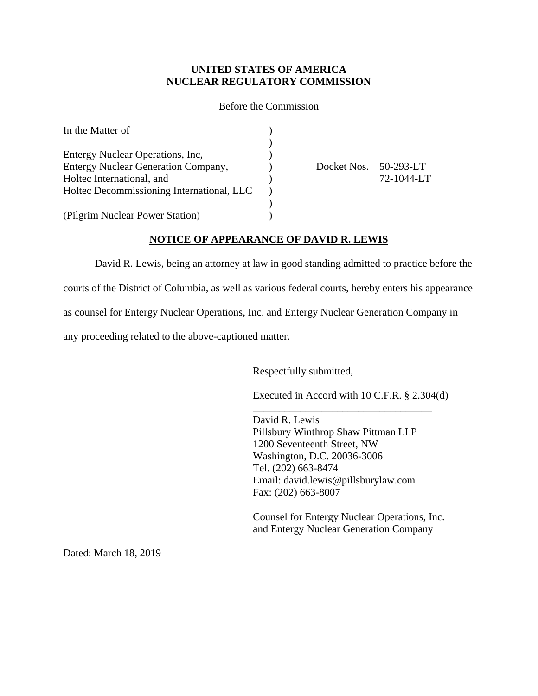### Before the Commission

| In the Matter of                           |                       |            |
|--------------------------------------------|-----------------------|------------|
|                                            |                       |            |
| Entergy Nuclear Operations, Inc.           |                       |            |
| <b>Entergy Nuclear Generation Company,</b> | Docket Nos. 50-293-LT |            |
| Holtec International, and                  |                       | 72-1044-LT |
| Holtec Decommissioning International, LLC  |                       |            |
|                                            |                       |            |
| (Pilgrim Nuclear Power Station)            |                       |            |

## **NOTICE OF APPEARANCE OF DAVID R. LEWIS**

David R. Lewis, being an attorney at law in good standing admitted to practice before the courts of the District of Columbia, as well as various federal courts, hereby enters his appearance as counsel for Entergy Nuclear Operations, Inc. and Entergy Nuclear Generation Company in any proceeding related to the above-captioned matter.

Respectfully submitted,

Executed in Accord with 10 C.F.R. § 2.304(d)

\_\_\_\_\_\_\_\_\_\_\_\_\_\_\_\_\_\_\_\_\_\_\_\_\_\_\_\_\_\_\_\_\_\_

David R. Lewis Pillsbury Winthrop Shaw Pittman LLP 1200 Seventeenth Street, NW Washington, D.C. 20036-3006 Tel. (202) 663-8474 Email: david.lewis@pillsburylaw.com Fax: (202) 663-8007

Counsel for Entergy Nuclear Operations, Inc. and Entergy Nuclear Generation Company

Dated: March 18, 2019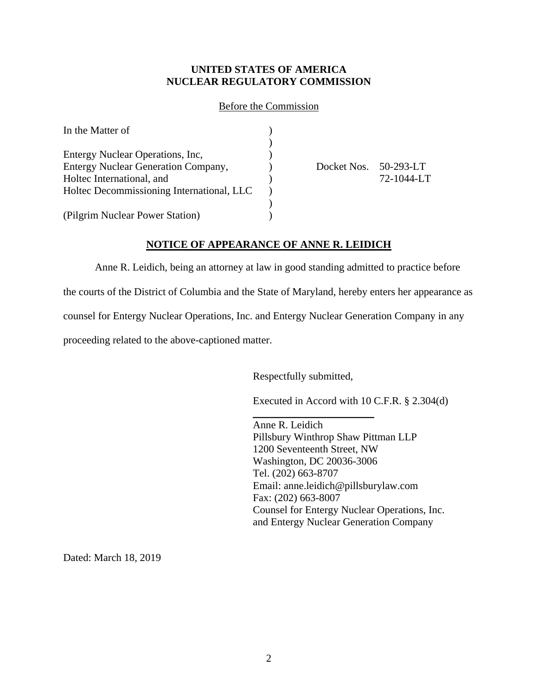### Before the Commission

| In the Matter of                           |                       |            |
|--------------------------------------------|-----------------------|------------|
|                                            |                       |            |
| Entergy Nuclear Operations, Inc.           |                       |            |
| <b>Entergy Nuclear Generation Company,</b> | Docket Nos. 50-293-LT |            |
| Holtec International, and                  |                       | 72-1044-LT |
| Holtec Decommissioning International, LLC  |                       |            |
|                                            |                       |            |
| (Pilgrim Nuclear Power Station)            |                       |            |

### **NOTICE OF APPEARANCE OF ANNE R. LEIDICH**

Anne R. Leidich, being an attorney at law in good standing admitted to practice before the courts of the District of Columbia and the State of Maryland, hereby enters her appearance as counsel for Entergy Nuclear Operations, Inc. and Entergy Nuclear Generation Company in any proceeding related to the above-captioned matter.

Respectfully submitted,

Executed in Accord with 10 C.F.R. § 2.304(d)

\_\_\_\_\_\_\_\_\_\_\_\_\_\_\_\_\_\_\_\_\_\_\_ Anne R. Leidich Pillsbury Winthrop Shaw Pittman LLP 1200 Seventeenth Street, NW Washington, DC 20036-3006 Tel. (202) 663-8707 Email: anne.leidich@pillsburylaw.com Fax: (202) 663-8007 Counsel for Entergy Nuclear Operations, Inc. and Entergy Nuclear Generation Company

Dated: March 18, 2019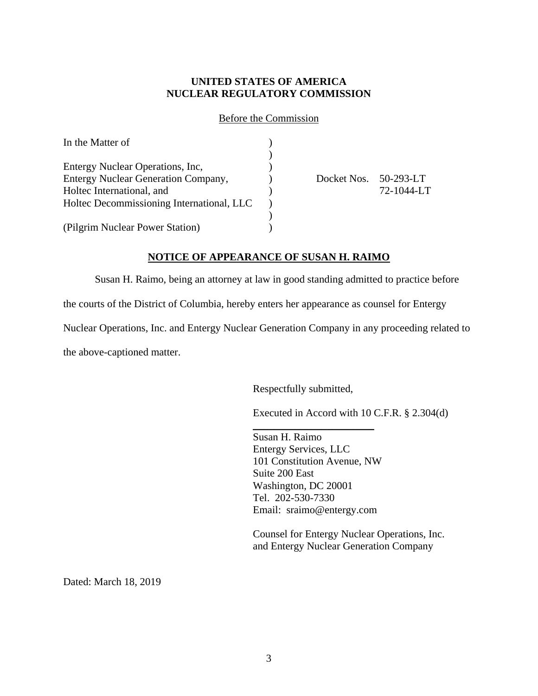Before the Commission

| In the Matter of                           |             |                 |
|--------------------------------------------|-------------|-----------------|
|                                            |             |                 |
| Entergy Nuclear Operations, Inc.           |             |                 |
| <b>Entergy Nuclear Generation Company,</b> | Docket Nos. | $50 - 293 - LT$ |
| Holtec International, and                  |             | 72-1044-LT      |
| Holtec Decommissioning International, LLC  |             |                 |
|                                            |             |                 |
| (Pilgrim Nuclear Power Station)            |             |                 |

### **NOTICE OF APPEARANCE OF SUSAN H. RAIMO**

Susan H. Raimo, being an attorney at law in good standing admitted to practice before

the courts of the District of Columbia, hereby enters her appearance as counsel for Entergy

Nuclear Operations, Inc. and Entergy Nuclear Generation Company in any proceeding related to

the above-captioned matter.

Respectfully submitted,

Executed in Accord with 10 C.F.R. § 2.304(d)

Susan H. Raimo Entergy Services, LLC 101 Constitution Avenue, NW Suite 200 East Washington, DC 20001 Tel. 202-530-7330 Email: sraimo@entergy.com

 $\overline{\phantom{a}}$  , where  $\overline{\phantom{a}}$  , where  $\overline{\phantom{a}}$  , where  $\overline{\phantom{a}}$ 

Counsel for Entergy Nuclear Operations, Inc. and Entergy Nuclear Generation Company

Dated: March 18, 2019